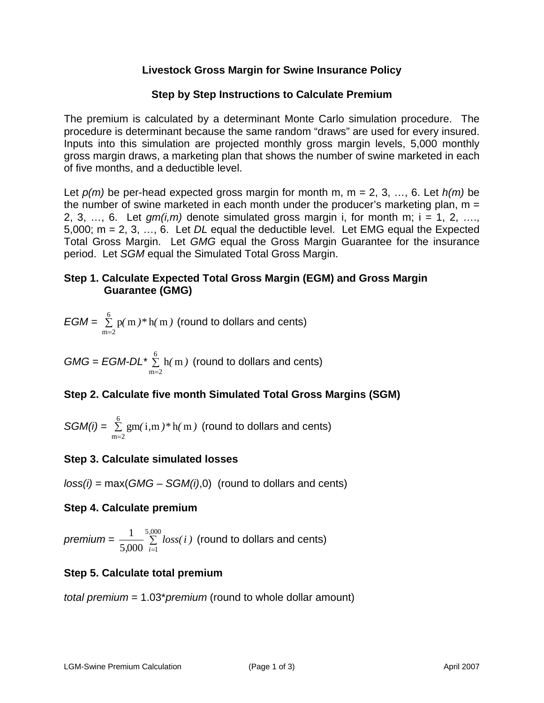# **Livestock Gross Margin for Swine Insurance Policy**

## **Step by Step Instructions to Calculate Premium**

procedure is determinant because the same random "draws" are used for every insured.<br>Inputs into this simulation are projected monthly gross margin levels, 5,000 monthly The premium is calculated by a determinant Monte Carlo simulation procedure. The gross margin draws, a marketing plan that shows the number of swine marketed in each of five months, and a deductible level.

Let *p(m)* be per-head expected gross margin for month m, m = 2, 3, …, 6. Let *h(m)* be the number of swine marketed in each month under the producer's marketing plan,  $m =$ 2, 3, ..., 6. Let  $gm(i,m)$  denote simulated gross margin i, for month m;  $i = 1, 2, \ldots$ 5,000; m = 2, 3, …, 6. Let *DL* equal the deductible level. Let EMG equal the Expected Total Gross Margin. Let *GMG* equal the Gross Margin Guarantee for the insurance period. Let *SGM* equal the Simulated Total Gross Margin.

## **Step 1. Calculate Expected Total Gross Margin (EGM) and Gross Margin Guarantee (GMG)**

$$
EGM = \sum_{m=2}^{6} p(m) * h(m)
$$
 (round to dollars and cents)

 $GMG = EGM-DL * \frac{6}{2}$  $m = 2$ ∑ = h(m) (round to dollars and cents)

# **Step 2. Calculate five month Simulated Total Gross Margins (SGM)**

$$
SGM(i) = \sum_{m=2}^{6} gm(i, m) * h(m)
$$
 (round to dollars and cents)

# **Step 3. Calculate simulated losses**

*loss(i)* = max(*GMG* – *SGM(i)*,0) (round to dollars and cents)

### **Step 4. Calculate premium**

*premium* =  $\frac{1}{\sqrt{2}}$  $\frac{1}{5,000}$   $\sum_{i=1}$ 5*,*000  $i=1$ *loss(i )* (round to dollars and cents)

# **Step 5. Calculate total premium**

*total premium* = 1.03\**premium* (round to whole dollar amount)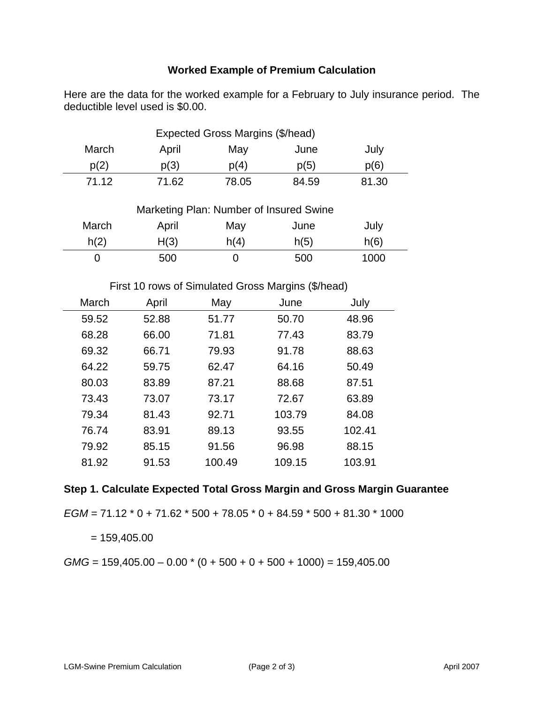# **Worked Example of Premium Calculation**

Here are the data for the worked example for a February to July insurance period. The deductible level used is \$0.00.

| Expected Gross Margins (\$/head) |       |       |       |       |       |
|----------------------------------|-------|-------|-------|-------|-------|
|                                  | March | April | May   | June  | July  |
|                                  | p(2)  | p(3)  | p(4)  | p(5)  | p(6)  |
|                                  | 71.12 | 71.62 | 78.05 | 84.59 | 81.30 |

| Marketing Plan: Number of Insured Swine |       |      |      |      |
|-----------------------------------------|-------|------|------|------|
| March                                   | April | May  | June | July |
| h(2)                                    | H(3)  | h(4) | h(5) | h(6) |
|                                         | 500   |      | 500  | 1000 |

## First 10 rows of Simulated Gross Margins (\$/head)

| March | April | May    | June   | July   |
|-------|-------|--------|--------|--------|
| 59.52 | 52.88 | 51.77  | 50.70  | 48.96  |
| 68.28 | 66.00 | 71.81  | 77.43  | 83.79  |
| 69.32 | 66.71 | 79.93  | 91.78  | 88.63  |
| 64.22 | 59.75 | 62.47  | 64.16  | 50.49  |
| 80.03 | 83.89 | 87.21  | 88.68  | 87.51  |
| 73.43 | 73.07 | 73.17  | 72.67  | 63.89  |
| 79.34 | 81.43 | 92.71  | 103.79 | 84.08  |
| 76.74 | 83.91 | 89.13  | 93.55  | 102.41 |
| 79.92 | 85.15 | 91.56  | 96.98  | 88.15  |
| 81.92 | 91.53 | 100.49 | 109.15 | 103.91 |

# **Step 1. Calculate Expected Total Gross Margin and Gross Margin Guarantee**

*EGM* = 71.12 \* 0 + 71.62 \* 500 + 78.05 \* 0 + 84.59 \* 500 + 81.30 \* 1000

 $= 159,405.00$ 

 $GMG = 159,405.00 - 0.00 * (0 + 500 + 0 + 500 + 1000) = 159,405.00$